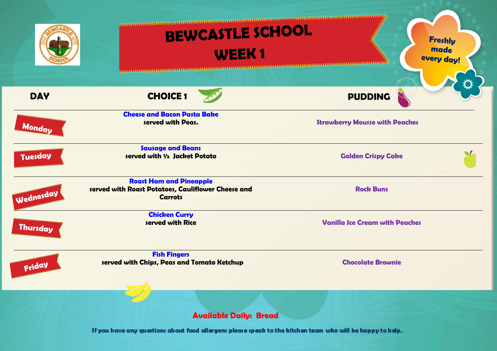|                 | BEWCASTLE SCHOOL<br><b>WEEK1</b><br><b>URBURNING START</b>                                             | <b>Carpenter Report Follows</b><br><b>Freshly</b><br>made<br>every day! |
|-----------------|--------------------------------------------------------------------------------------------------------|-------------------------------------------------------------------------|
| <b>DAY</b>      | <b>CHOICE 1</b>                                                                                        | <b>PUDDING</b>                                                          |
| Monday          | <b>Cheese and Bacon Pasta Bake</b><br>served with Peas.                                                | <b>Strawberry Mousse with Peaches</b>                                   |
| Tuesday         | <b>Sausage and Beans</b><br>served with 1/2 Jacket Potato                                              | <b>Golden Crispy Cake</b>                                               |
| Wednesday       | <b>Roast Ham and Pineapple</b><br>served with Roast Potatoes, Cauliflower Cheese and<br><b>Carrots</b> | <b>Rock Buns</b>                                                        |
| <b>Thursday</b> | <b>Chicken Curry</b><br>served with Rice                                                               | <b>Vanilla Ice Cream with Peaches</b>                                   |
| Friday          | <b>Fish Fingers</b><br>served with Chips, Peas and Tomato Ketchup                                      | <b>Chocolate Brownie</b>                                                |
|                 | <b>Available Daily: Bread</b>                                                                          |                                                                         |

If you have any questions about food allergens please speak to the kitchen team who will be happy to help.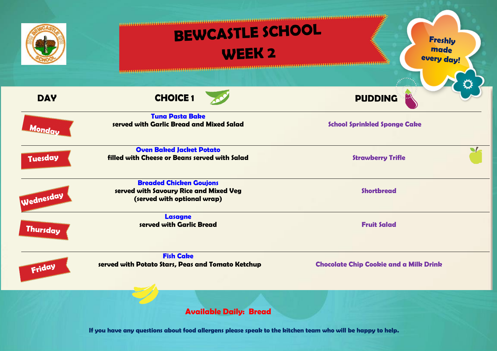|                 | BEWCASTLE SCHOOL<br><b>WEEK 2</b>                                                                       | <b>Freshly</b><br>made<br>every day!          |
|-----------------|---------------------------------------------------------------------------------------------------------|-----------------------------------------------|
| <b>DAY</b>      | <b>CHOICE1</b>                                                                                          | <b>PUDDING</b>                                |
| Monday          | <b>Tuna Pasta Bake</b><br>served with Garlic Bread and Mixed Salad                                      | <b>School Sprinkled Sponge Cake</b>           |
| Tuesday         | <b>Oven Baked Jacket Potato</b><br>filled with Cheese or Beans served with Salad                        | $\blacksquare$<br><b>Strawberry Trifle</b>    |
| Wednesday       | <b>Breaded Chicken Goujons</b><br>served with Savoury Rice and Mixed Veg<br>(served with optional wrap) | <b>Shortbread</b>                             |
| <b>Thursday</b> | <b>Lasagne</b><br>served with Garlic Bread                                                              | <b>Fruit Salad</b>                            |
| Friday          | <b>Fish Cake</b><br>served with Potato Stars, Peas and Tomato Ketchup                                   | <b>Chocolate Chip Cookie and a Milk Drink</b> |
|                 | <b>Available Daily: Bread</b>                                                                           |                                               |